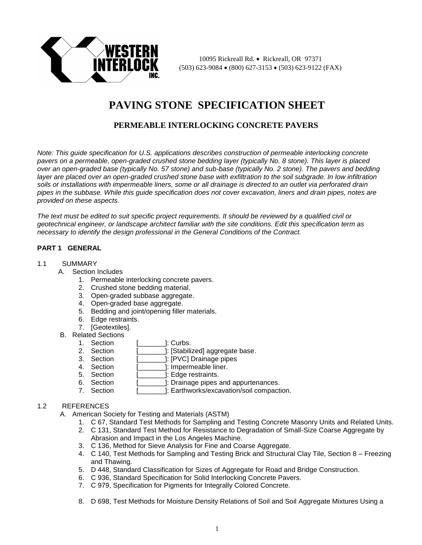

10095 Rickreall Rd. • Rickreall, OR 97371  $(503)$  623-9084  $\bullet$  (800) 627-3153  $\bullet$  (503) 623-9122 (FAX)

# **PAVING STONE SPECIFICATION SHEET**

## **PERMEABLE INTERLOCKING CONCRETE PAVERS**

*Note: This guide specification for U.S. applications describes construction of permeable interlocking concrete pavers on a permeable, open-graded crushed stone bedding layer (typically No. 8 stone). This layer is placed over an open-graded base (typically No. 57 stone) and sub-base (typically No. 2 stone). The pavers and bedding*  layer are placed over an open-graded crushed stone base with exfiltration to the soil subgrade. In low infiltration *soils or installations with impermeable liners, some or all drainage is directed to an outlet via perforated drain pipes in the subbase. While this guide specification does not cover excavation, liners and drain pipes, notes are provided on these aspects.* 

*The text must be edited to suit specific project requirements. It should be reviewed by a qualified civil or geotechnical engineer, or landscape architect familiar with the site conditions. Edit this specification term as necessary to identify the design professional in the General Conditions of the Contract.* 

## **PART 1 GENERAL**

#### 1.1 SUMMARY

- A. Section Includes
	- 1. Permeable interlocking concrete pavers.
	- 2. Crushed stone bedding material.
	- 3. Open-graded subbase aggregate.
	- 4. Open-graded base aggregate.
	- 5. Bedding and joint/opening filler materials.
	- 6. Edge restraints.
	- 7. [Geotextiles].
- B. Related Sections
	- 1. Section [ ]: Curbs.
	- 2. Section [\_\_\_\_\_\_\_\_]: [Stabilized] aggregate base.
	- 3. Section [ ]: [PVC] Drainage pipes
	- 4. Section [ ]: Impermeable liner.
	- 5. Section [\_\_\_\_\_\_\_\_]: Edge restraints.<br>6. Section [ ]: Drainage pipes
	- 1: Drainage pipes and appurtenances.
	- 7. Section [ ]: Earthworks/excavation/soil compaction.

## 1.2 REFERENCES

A. American Society for Testing and Materials (ASTM)

- 1. C 67, Standard Test Methods for Sampling and Testing Concrete Masonry Units and Related Units.
- 2. C 131, Standard Test Method for Resistance to Degradation of Small-Size Coarse Aggregate by Abrasion and Impact in the Los Angeles Machine.
- 3. C 136, Method for Sieve Analysis for Fine and Coarse Aggregate.
- 4. C 140, Test Methods for Sampling and Testing Brick and Structural Clay Tile, Section 8 Freezing and Thawing.
- 5. D 448, Standard Classification for Sizes of Aggregate for Road and Bridge Construction.
- 6. C 936, Standard Specification for Solid Interlocking Concrete Pavers.
- 7. C 979, Specification for Pigments for Integrally Colored Concrete.
- 8. D 698, Test Methods for Moisture Density Relations of Soil and Soil Aggregate Mixtures Using a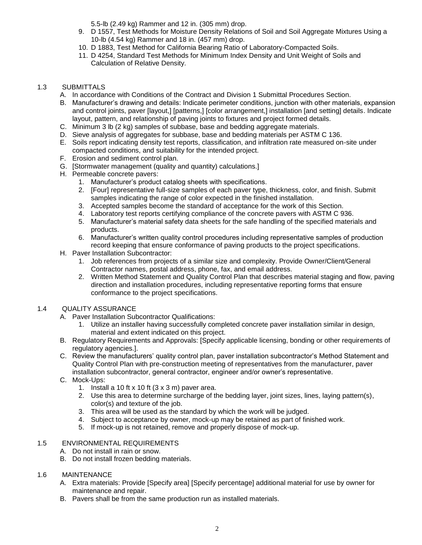5.5-lb (2.49 kg) Rammer and 12 in. (305 mm) drop.

- 9. D 1557, Test Methods for Moisture Density Relations of Soil and Soil Aggregate Mixtures Using a 10-lb (4.54 kg) Rammer and 18 in. (457 mm) drop.
- 10. D 1883, Test Method for California Bearing Ratio of Laboratory-Compacted Soils.
- 11. D 4254, Standard Test Methods for Minimum Index Density and Unit Weight of Soils and Calculation of Relative Density.

## 1.3 SUBMITTALS

- A. In accordance with Conditions of the Contract and Division 1 Submittal Procedures Section.
- B. Manufacturer's drawing and details: Indicate perimeter conditions, junction with other materials, expansion and control joints, paver [layout,] [patterns,] [color arrangement,] installation [and setting] details. Indicate layout, pattern, and relationship of paving joints to fixtures and project formed details.
- C. Minimum 3 lb (2 kg) samples of subbase, base and bedding aggregate materials.
- D. Sieve analysis of aggregates for subbase, base and bedding materials per ASTM C 136.
- E. Soils report indicating density test reports, classification, and infiltration rate measured on-site under compacted conditions, and suitability for the intended project.
- F. Erosion and sediment control plan.
- G. [Stormwater management (quality and quantity) calculations.]
- H. Permeable concrete pavers:
	- 1. Manufacturer's product catalog sheets with specifications.
	- 2. [Four] representative full-size samples of each paver type, thickness, color, and finish. Submit samples indicating the range of color expected in the finished installation.
	- 3. Accepted samples become the standard of acceptance for the work of this Section.
	- 4. Laboratory test reports certifying compliance of the concrete pavers with ASTM C 936.
	- 5. Manufacturer's material safety data sheets for the safe handling of the specified materials and products.
	- 6. Manufacturer's written quality control procedures including representative samples of production record keeping that ensure conformance of paving products to the project specifications.
- H. Paver Installation Subcontractor:
	- 1. Job references from projects of a similar size and complexity. Provide Owner/Client/General Contractor names, postal address, phone, fax, and email address.
	- 2. Written Method Statement and Quality Control Plan that describes material staging and flow, paving direction and installation procedures, including representative reporting forms that ensure conformance to the project specifications.

## 1.4 QUALITY ASSURANCE

- A. Paver Installation Subcontractor Qualifications:
	- 1. Utilize an installer having successfully completed concrete paver installation similar in design, material and extent indicated on this project.
- B. Regulatory Requirements and Approvals: [Specify applicable licensing, bonding or other requirements of regulatory agencies.].
- C. Review the manufacturers' quality control plan, paver installation subcontractor's Method Statement and Quality Control Plan with pre-construction meeting of representatives from the manufacturer, paver installation subcontractor, general contractor, engineer and/or owner's representative.
- C. Mock-Ups:
	- 1. Install a 10 ft x 10 ft  $(3 \times 3 \text{ m})$  paver area.
	- 2. Use this area to determine surcharge of the bedding layer, joint sizes, lines, laying pattern(s), color(s) and texture of the job.
	- 3. This area will be used as the standard by which the work will be judged.
	- 4. Subject to acceptance by owner, mock-up may be retained as part of finished work.
	- 5. If mock-up is not retained, remove and properly dispose of mock-up.

## 1.5 ENVIRONMENTAL REQUIREMENTS

- A. Do not install in rain or snow.
- B. Do not install frozen bedding materials.

## 1.6 MAINTENANCE

- A. Extra materials: Provide [Specify area] [Specify percentage] additional material for use by owner for maintenance and repair.
- B. Pavers shall be from the same production run as installed materials.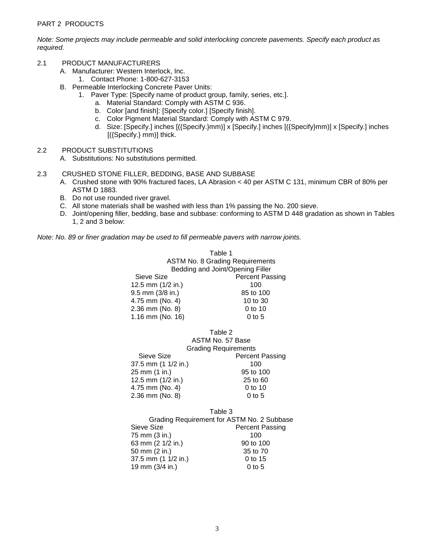*Note: Some projects may include permeable and solid interlocking concrete pavements. Specify each product as required.*

- 2.1 PRODUCT MANUFACTURERS
	- A. Manufacturer: Western Interlock, Inc.
		- 1. Contact Phone: 1-800-627-3153
	- B. Permeable Interlocking Concrete Paver Units:
		- 1. Paver Type: [Specify name of product group, family, series, etc.].
			- a. Material Standard: Comply with ASTM C 936.
			- b. Color [and finish]: [Specify color.] [Specify finish].
			- c. Color Pigment Material Standard: Comply with ASTM C 979.
			- d. Size: [Specify.] inches [({Specify.}mm)] x [Specify.] inches [({Specify}mm)] x [Specify.] inches [({Specify.} mm)] thick.
- 2.2 PRODUCT SUBSTITUTIONS
	- A. Substitutions: No substitutions permitted.
- 2.3 CRUSHED STONE FILLER, BEDDING, BASE AND SUBBASE
	- A. Crushed stone with 90% fractured faces, LA Abrasion < 40 per ASTM C 131, minimum CBR of 80% per ASTM D 1883.
	- B. Do not use rounded river gravel.
	- C. All stone materials shall be washed with less than 1% passing the No. 200 sieve.
	- D. Joint/opening filler, bedding, base and subbase: conforming to ASTM D 448 gradation as shown in Tables 1, 2 and 3 below:

*Note: No. 89 or finer gradation may be used to fill permeable pavers with narrow joints.*

Table 1 ASTM No. 8 Grading Requirements Bedding and Joint/Opening Filler Sieve Size **Percent Passing** 12.5 mm (1/2 in.) 100 9.5 mm (3/8 in.) 85 to 100 4.75 mm (No. 4) 10 to 30 2.36 mm (No. 8) 0 to 10 1.16 mm (No. 16) 0 to 5

|                             | Table 2                |
|-----------------------------|------------------------|
|                             | ASTM No. 57 Base       |
| <b>Grading Requirements</b> |                        |
| Sieve Size                  | <b>Percent Passing</b> |
| 37.5 mm (1 1/2 in.)         | 100                    |
| 25 mm (1 in.)               | 95 to 100              |
| 12.5 mm (1/2 in.)           | 25 to 60               |
| 4.75 mm (No. 4)             | $0$ to 10              |
| 2.36 mm (No. 8)             | 0 to 5                 |

#### Table 3 Grading Requirement for ASTM No. 2 Subbase Sieve Size **Percent Passing** 75 mm (3 in.) 100 63 mm (2 1/2 in.) 90 to 100 50 mm (2 in.) 35 to 70 37.5 mm (1 1/2 in.) 0 to 15 19 mm (3/4 in.) 0 to 5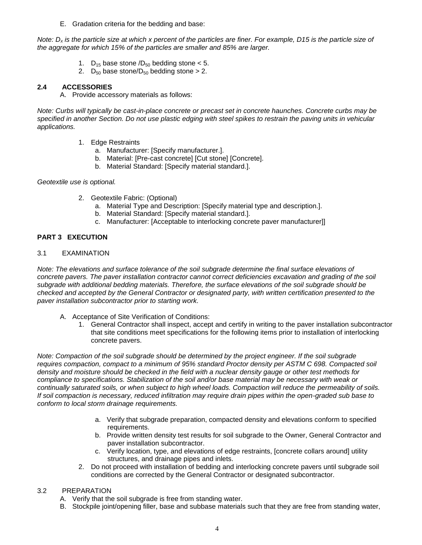E. Gradation criteria for the bedding and base:

*Note: D<sup>x</sup> is the particle size at which x percent of the particles are finer. For example, D15 is the particle size of the aggregate for which 15% of the particles are smaller and 85% are larger.*

- 1.  $D_{15}$  base stone  $/D_{50}$  bedding stone < 5.
- 2. D<sub>50</sub> base stone/D<sub>50</sub> bedding stone  $> 2$ .

## **2.4 ACCESSORIES**

A. Provide accessory materials as follows:

*Note: Curbs will typically be cast-in-place concrete or precast set in concrete haunches. Concrete curbs may be specified in another Section. Do not use plastic edging with steel spikes to restrain the paving units in vehicular applications.*

- 1. Edge Restraints
	- a. Manufacturer: [Specify manufacturer.].
	- b. Material: [Pre-cast concrete] [Cut stone] [Concrete].
	- b. Material Standard: [Specify material standard.].

*Geotextile use is optional.*

- 2. Geotextile Fabric: (Optional)
	- a. Material Type and Description: [Specify material type and description.].
	- b. Material Standard: [Specify material standard.].
	- c. Manufacturer: [Acceptable to interlocking concrete paver manufacturer]]

## **PART 3 EXECUTION**

## 3.1 EXAMINATION

*Note: The elevations and surface tolerance of the soil subgrade determine the final surface elevations of*  concrete pavers. The paver installation contractor cannot correct deficiencies excavation and grading of the soil *subgrade with additional bedding materials. Therefore, the surface elevations of the soil subgrade should be checked and accepted by the General Contractor or designated party, with written certification presented to the paver installation subcontractor prior to starting work.* 

- A. Acceptance of Site Verification of Conditions:
	- 1. General Contractor shall inspect, accept and certify in writing to the paver installation subcontractor that site conditions meet specifications for the following items prior to installation of interlocking concrete pavers.

*Note: Compaction of the soil subgrade should be determined by the project engineer. If the soil subgrade requires compaction, compact to a minimum of 95% standard Proctor density per ASTM C 698. Compacted soil density and moisture should be checked in the field with a nuclear density gauge or other test methods for compliance to specifications. Stabilization of the soil and/or base material may be necessary with weak or continually saturated soils, or when subject to high wheel loads. Compaction will reduce the permeability of soils. If soil compaction is necessary, reduced infiltration may require drain pipes within the open-graded sub base to conform to local storm drainage requirements.*

- a. Verify that subgrade preparation, compacted density and elevations conform to specified requirements.
- b. Provide written density test results for soil subgrade to the Owner, General Contractor and paver installation subcontractor.
- c. Verify location, type, and elevations of edge restraints, [concrete collars around] utility structures, and drainage pipes and inlets.
- 2. Do not proceed with installation of bedding and interlocking concrete pavers until subgrade soil conditions are corrected by the General Contractor or designated subcontractor.

## 3.2 PREPARATION

- A. Verify that the soil subgrade is free from standing water.
- B. Stockpile joint/opening filler, base and subbase materials such that they are free from standing water,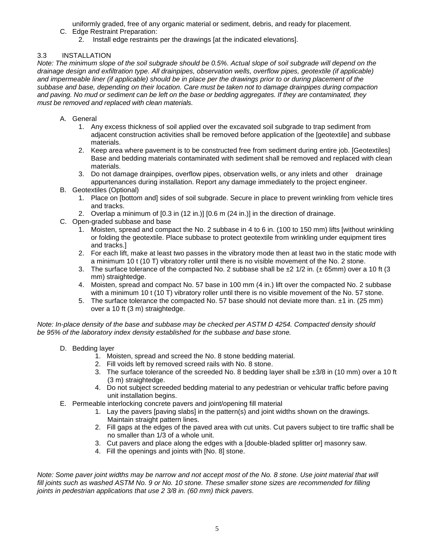uniformly graded, free of any organic material or sediment, debris, and ready for placement.

- C. Edge Restraint Preparation:
	- 2. Install edge restraints per the drawings [at the indicated elevations].

## 3.3 INSTALLATION

*Note: The minimum slope of the soil subgrade should be 0.5%. Actual slope of soil subgrade will depend on the drainage design and exfiltration type. All drainpipes, observation wells, overflow pipes, geotextile (if applicable) and impermeable liner (if applicable) should be in place per the drawings prior to or during placement of the subbase and base, depending on their location. Care must be taken not to damage drainpipes during compaction*  and paving. No mud or sediment can be left on the base or bedding aggregates. If they are contaminated, they *must be removed and replaced with clean materials.* 

- A. General
	- 1. Any excess thickness of soil applied over the excavated soil subgrade to trap sediment from adjacent construction activities shall be removed before application of the [geotextile] and subbase materials.
	- 2. Keep area where pavement is to be constructed free from sediment during entire job. [Geotextiles] Base and bedding materials contaminated with sediment shall be removed and replaced with clean materials.
	- 3. Do not damage drainpipes, overflow pipes, observation wells, or any inlets and other drainage appurtenances during installation. Report any damage immediately to the project engineer.
- B. Geotextiles (Optional)
	- 1. Place on [bottom and] sides of soil subgrade. Secure in place to prevent wrinkling from vehicle tires and tracks.
	- 2. Overlap a minimum of [0.3 in (12 in.)] [0.6 m (24 in.)] in the direction of drainage.
- C. Open-graded subbase and base
	- 1. Moisten, spread and compact the No. 2 subbase in 4 to 6 in. (100 to 150 mm) lifts [without wrinkling or folding the geotextile. Place subbase to protect geotextile from wrinkling under equipment tires and tracks.]
	- 2. For each lift, make at least two passes in the vibratory mode then at least two in the static mode with a minimum 10 t (10 T) vibratory roller until there is no visible movement of the No. 2 stone.
	- 3. The surface tolerance of the compacted No. 2 subbase shall be  $\pm 2$  1/2 in. ( $\pm$  65mm) over a 10 ft (3 mm) straightedge.
	- 4. Moisten, spread and compact No. 57 base in 100 mm (4 in.) lift over the compacted No. 2 subbase with a minimum 10 t (10 T) vibratory roller until there is no visible movement of the No. 57 stone.
	- 5. The surface tolerance the compacted No. 57 base should not deviate more than.  $\pm 1$  in. (25 mm) over a 10 ft (3 m) straightedge.

*Note: In-place density of the base and subbase may be checked per ASTM D 4254. Compacted density should be 95% of the laboratory index density established for the subbase and base stone.* 

- D. Bedding layer
	- 1. Moisten, spread and screed the No. 8 stone bedding material.
	- 2. Fill voids left by removed screed rails with No. 8 stone.
	- 3. The surface tolerance of the screeded No. 8 bedding layer shall be  $\pm 3/8$  in (10 mm) over a 10 ft (3 m) straightedge.
	- 4. Do not subject screeded bedding material to any pedestrian or vehicular traffic before paving unit installation begins.
- E. Permeable interlocking concrete pavers and joint/opening fill material
	- 1. Lay the pavers [paving slabs] in the pattern(s) and joint widths shown on the drawings. Maintain straight pattern lines.
	- 2. Fill gaps at the edges of the paved area with cut units. Cut pavers subject to tire traffic shall be no smaller than 1/3 of a whole unit.
	- 3. Cut pavers and place along the edges with a [double-bladed splitter or] masonry saw.
	- 4. Fill the openings and joints with [No. 8] stone.

*Note: Some paver joint widths may be narrow and not accept most of the No. 8 stone. Use joint material that will fill joints such as washed ASTM No. 9 or No. 10 stone. These smaller stone sizes are recommended for filling joints in pedestrian applications that use 2 3/8 in. (60 mm) thick pavers.*